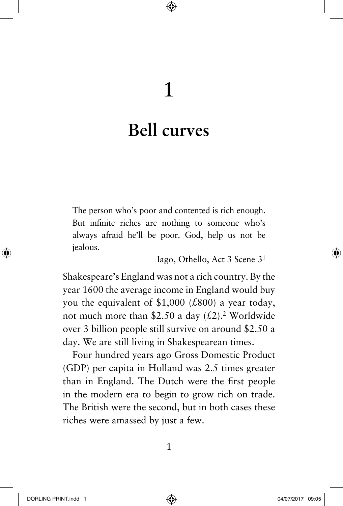# **1**

♠

# **Bell curves**

The person who's poor and contented is rich enough. But infinite riches are nothing to someone who's always afraid he'll be poor. God, help us not be jealous.

Iago, Othello, Act 3 Scene 31

Shakespeare's England was not a rich country. By the year 1600 the average income in England would buy you the equivalent of \$1,000 ( $£800$ ) a year today, not much more than \$2.50 a day  $(\text{\textsterling}2)^2$ . Worldwide over 3 billion people still survive on around \$2.50 a day. We are still living in Shakespearean times.

Four hundred years ago Gross Domestic Product (GDP) per capita in Holland was 2.5 times greater than in England. The Dutch were the first people in the modern era to begin to grow rich on trade. The British were the second, but in both cases these riches were amassed by just a few.

◈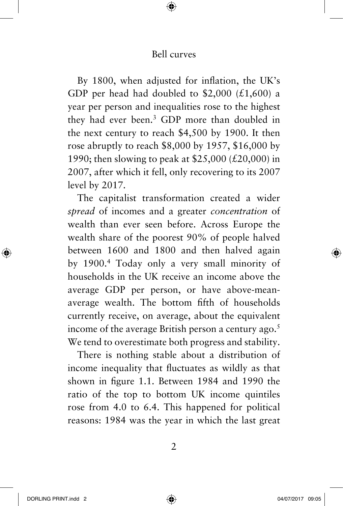♠

By 1800, when adjusted for inflation, the UK's GDP per head had doubled to \$2,000 (£1,600) a year per person and inequalities rose to the highest they had ever been.3 GDP more than doubled in the next century to reach \$4,500 by 1900. It then rose abruptly to reach \$8,000 by 1957, \$16,000 by 1990; then slowing to peak at \$25,000 (£20,000) in 2007, after which it fell, only recovering to its 2007 level by 2017.

The capitalist transformation created a wider *spread* of incomes and a greater *concentration* of wealth than ever seen before. Across Europe the wealth share of the poorest 90% of people halved between 1600 and 1800 and then halved again by 1900.4 Today only a very small minority of households in the UK receive an income above the average GDP per person, or have above-meanaverage wealth. The bottom fifth of households currently receive, on average, about the equivalent income of the average British person a century ago. $5$ We tend to overestimate both progress and stability.

There is nothing stable about a distribution of income inequality that fluctuates as wildly as that shown in figure 1.1. Between 1984 and 1990 the ratio of the top to bottom UK income quintiles rose from 4.0 to 6.4. This happened for political reasons: 1984 was the year in which the last great

2

⊕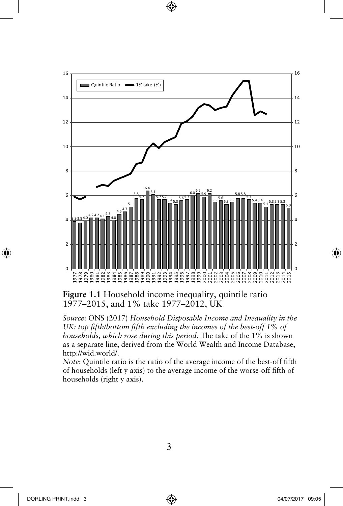

⊕

**Figure 1.1** Household income inequality, quintile ratio 1977–2015, and 1% take 1977–2012, UK

*Source*: ONS (2017) *Household Disposable Income and Inequality in the UK: top fifth/bottom fifth excluding the incomes of the best-off 1% of households, which rose during this period.* The take of the 1% is shown as a separate line, derived from the World Wealth and Income Database, http://wid.world/.

*Note*: Quintile ratio is the ratio of the average income of the best-off fifth of households (left y axis) to the average income of the worse-off fifth of households (right y axis).

◈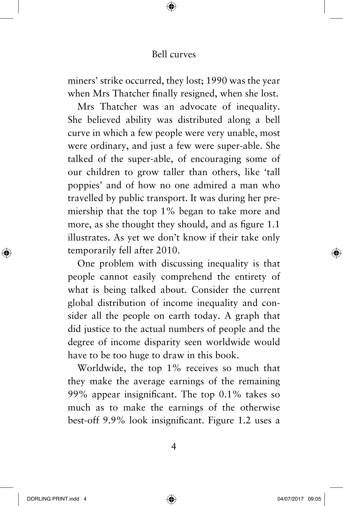♠

miners' strike occurred, they lost; 1990 was the year when Mrs Thatcher finally resigned, when she lost.

Mrs Thatcher was an advocate of inequality. She believed ability was distributed along a bell curve in which a few people were very unable, most were ordinary, and just a few were super-able. She talked of the super-able, of encouraging some of our children to grow taller than others, like 'tall poppies' and of how no one admired a man who travelled by public transport. It was during her premiership that the top 1% began to take more and more, as she thought they should, and as figure 1.1 illustrates. As yet we don't know if their take only temporarily fell after 2010.

One problem with discussing inequality is that people cannot easily comprehend the entirety of what is being talked about. Consider the current global distribution of income inequality and consider all the people on earth today. A graph that did justice to the actual numbers of people and the degree of income disparity seen worldwide would have to be too huge to draw in this book.

Worldwide, the top 1% receives so much that they make the average earnings of the remaining 99% appear insignificant. The top 0.1% takes so much as to make the earnings of the otherwise best-off 9.9% look insignificant. Figure 1.2 uses a

4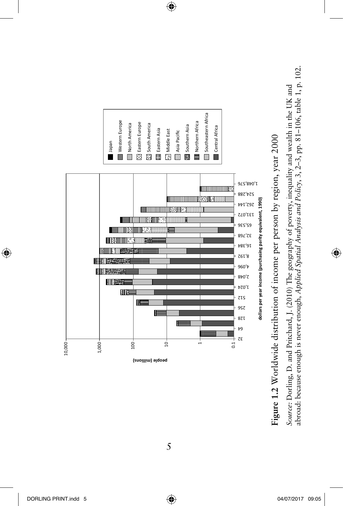

 $\bigoplus$ 

5

abroad: because enough is never enough, Applied Spatial Analysis and Policy, 3, 2–3, pp. 81-106, table 1, p. 102. abroad: because enough is never enough, *Applied Spatial Analysis and Policy*, 3, 2–3, pp. 81–106, table 1, p. 102. Source: Dorling, D. and Pritchard, J. (2010) The geography of poverty, inequality and wealth in the UK and *Source:* Dorling, D. and Pritchard, J. (2010) The geography of poverty, inequality and wealth in the UK and

◈

 $\bigoplus$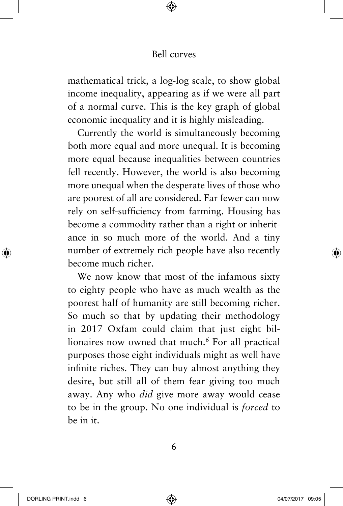♠

mathematical trick, a log-log scale, to show global income inequality, appearing as if we were all part of a normal curve. This is the key graph of global economic inequality and it is highly misleading.

Currently the world is simultaneously becoming both more equal and more unequal. It is becoming more equal because inequalities between countries fell recently. However, the world is also becoming more unequal when the desperate lives of those who are poorest of all are considered. Far fewer can now rely on self-sufficiency from farming. Housing has become a commodity rather than a right or inheritance in so much more of the world. And a tiny number of extremely rich people have also recently become much richer.

We now know that most of the infamous sixty to eighty people who have as much wealth as the poorest half of humanity are still becoming richer. So much so that by updating their methodology in 2017 Oxfam could claim that just eight billionaires now owned that much.<sup>6</sup> For all practical purposes those eight individuals might as well have infinite riches. They can buy almost anything they desire, but still all of them fear giving too much away. Any who *did* give more away would cease to be in the group. No one individual is *forced* to be in it.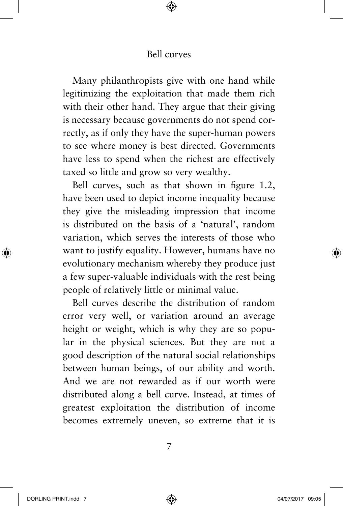⊕

Many philanthropists give with one hand while legitimizing the exploitation that made them rich with their other hand. They argue that their giving is necessary because governments do not spend correctly, as if only they have the super-human powers to see where money is best directed. Governments have less to spend when the richest are effectively taxed so little and grow so very wealthy.

Bell curves, such as that shown in figure 1.2, have been used to depict income inequality because they give the misleading impression that income is distributed on the basis of a 'natural', random variation, which serves the interests of those who want to justify equality. However, humans have no evolutionary mechanism whereby they produce just a few super-valuable individuals with the rest being people of relatively little or minimal value.

Bell curves describe the distribution of random error very well, or variation around an average height or weight, which is why they are so popular in the physical sciences. But they are not a good description of the natural social relationships between human beings, of our ability and worth. And we are not rewarded as if our worth were distributed along a bell curve. Instead, at times of greatest exploitation the distribution of income becomes extremely uneven, so extreme that it is

7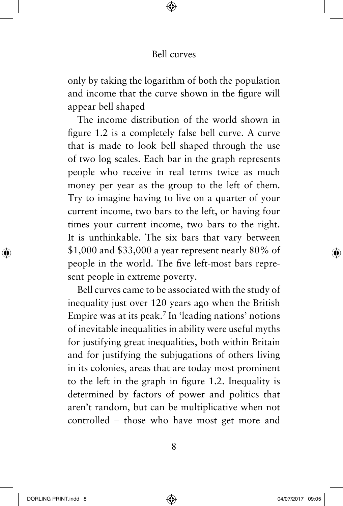♠

only by taking the logarithm of both the population and income that the curve shown in the figure will appear bell shaped

The income distribution of the world shown in figure 1.2 is a completely false bell curve. A curve that is made to look bell shaped through the use of two log scales. Each bar in the graph represents people who receive in real terms twice as much money per year as the group to the left of them. Try to imagine having to live on a quarter of your current income, two bars to the left, or having four times your current income, two bars to the right. It is unthinkable. The six bars that vary between \$1,000 and \$33,000 a year represent nearly 80% of people in the world. The five left-most bars represent people in extreme poverty.

Bell curves came to be associated with the study of inequality just over 120 years ago when the British Empire was at its peak.7 In 'leading nations' notions of inevitable inequalities in ability were useful myths for justifying great inequalities, both within Britain and for justifying the subjugations of others living in its colonies, areas that are today most prominent to the left in the graph in figure 1.2. Inequality is determined by factors of power and politics that aren't random, but can be multiplicative when not controlled – those who have most get more and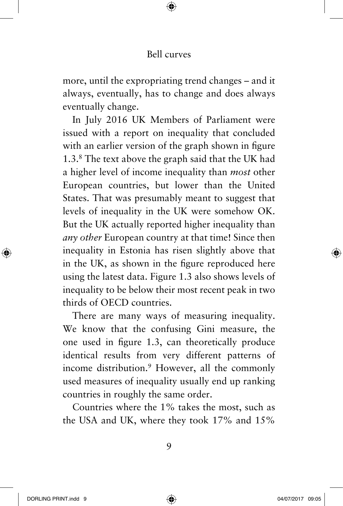⊕

more, until the expropriating trend changes – and it always, eventually, has to change and does always eventually change.

In July 2016 UK Members of Parliament were issued with a report on inequality that concluded with an earlier version of the graph shown in figure 1.3.8 The text above the graph said that the UK had a higher level of income inequality than *most* other European countries, but lower than the United States. That was presumably meant to suggest that levels of inequality in the UK were somehow OK. But the UK actually reported higher inequality than *any other* European country at that time! Since then inequality in Estonia has risen slightly above that in the UK, as shown in the figure reproduced here using the latest data. Figure 1.3 also shows levels of inequality to be below their most recent peak in two thirds of OECD countries.

There are many ways of measuring inequality. We know that the confusing Gini measure, the one used in figure 1.3, can theoretically produce identical results from very different patterns of income distribution.<sup>9</sup> However, all the commonly used measures of inequality usually end up ranking countries in roughly the same order.

Countries where the 1% takes the most, such as the USA and UK, where they took 17% and 15%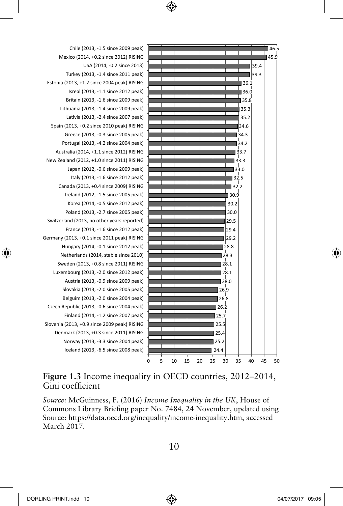



#### **Figure 1.3** Income inequality in OECD countries, 2012–2014, Gini coefficient

*Source:* McGuinness, F. (2016) *Income Inequality in the UK*, House of Commons Library Briefing paper No. 7484, 24 November, updated using Source: https://data.oecd.org/inequality/income-inequality.htm, accessed March 2017.

DORLING PRINT.indd 10 04/07/2017 09:05

◈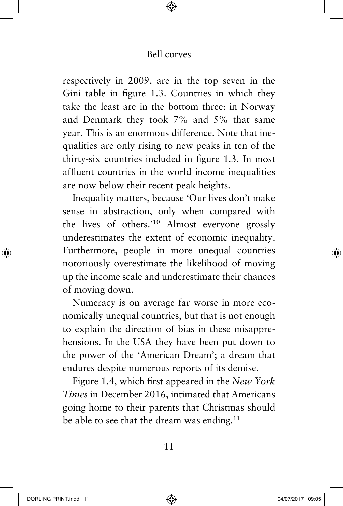⊕

respectively in 2009, are in the top seven in the Gini table in figure 1.3. Countries in which they take the least are in the bottom three: in Norway and Denmark they took 7% and 5% that same year. This is an enormous difference. Note that inequalities are only rising to new peaks in ten of the thirty-six countries included in figure 1.3. In most affluent countries in the world income inequalities are now below their recent peak heights.

Inequality matters, because 'Our lives don't make sense in abstraction, only when compared with the lives of others.'10 Almost everyone grossly underestimates the extent of economic inequality. Furthermore, people in more unequal countries notoriously overestimate the likelihood of moving up the income scale and underestimate their chances of moving down.

Numeracy is on average far worse in more economically unequal countries, but that is not enough to explain the direction of bias in these misapprehensions. In the USA they have been put down to the power of the 'American Dream'; a dream that endures despite numerous reports of its demise.

Figure 1.4, which first appeared in the *New York Times* in December 2016, intimated that Americans going home to their parents that Christmas should be able to see that the dream was ending.<sup>11</sup>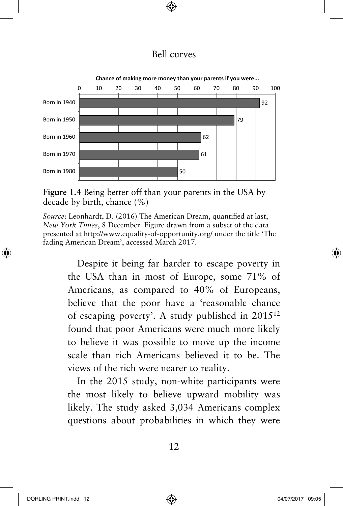⊕



**Figure 1.4** Being better off than your parents in the USA by decade by birth, chance (%)

*Source*: Leonhardt, D. (2016) The American Dream, quantified at last, *New York Times*, 8 December. Figure drawn from a subset of the data presented at http://www.equality-of-opportunity.org/ under the title 'The fading American Dream', accessed March 2017.

> Despite it being far harder to escape poverty in the USA than in most of Europe, some 71% of Americans, as compared to 40% of Europeans, believe that the poor have a 'reasonable chance of escaping poverty'. A study published in 201512 found that poor Americans were much more likely to believe it was possible to move up the income scale than rich Americans believed it to be. The views of the rich were nearer to reality.

> In the 2015 study, non-white participants were the most likely to believe upward mobility was likely. The study asked 3,034 Americans complex questions about probabilities in which they were

◈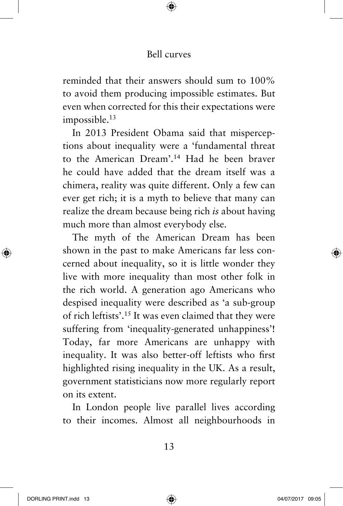⊕

reminded that their answers should sum to 100% to avoid them producing impossible estimates. But even when corrected for this their expectations were impossible.<sup>13</sup>

In 2013 President Obama said that misperceptions about inequality were a 'fundamental threat to the American Dream'.14 Had he been braver he could have added that the dream itself was a chimera, reality was quite different. Only a few can ever get rich; it is a myth to believe that many can realize the dream because being rich *is* about having much more than almost everybody else.

The myth of the American Dream has been shown in the past to make Americans far less concerned about inequality, so it is little wonder they live with more inequality than most other folk in the rich world. A generation ago Americans who despised inequality were described as 'a sub-group of rich leftists'.15 It was even claimed that they were suffering from 'inequality-generated unhappiness'! Today, far more Americans are unhappy with inequality. It was also better-off leftists who first highlighted rising inequality in the UK. As a result, government statisticians now more regularly report on its extent.

In London people live parallel lives according to their incomes. Almost all neighbourhoods in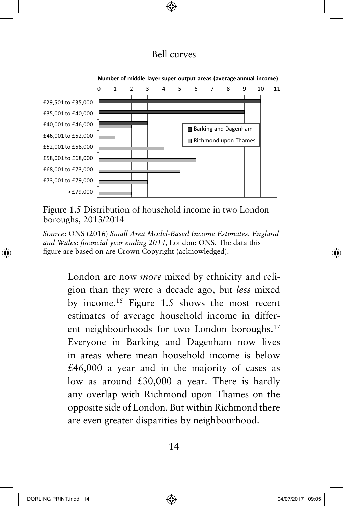⊕



**Number of middle layer super output areas (average annual income)**

**Figure 1.5** Distribution of household income in two London boroughs, 2013/2014

*Source*: ONS (2016) *Small Area Model-Based Income Estimates, England and Wales: financial year ending 2014*, London: ONS. The data this figure are based on are Crown Copyright (acknowledged).

> London are now *more* mixed by ethnicity and religion than they were a decade ago, but *less* mixed by income.16 Figure 1.5 shows the most recent estimates of average household income in different neighbourhoods for two London boroughs.<sup>17</sup> Everyone in Barking and Dagenham now lives in areas where mean household income is below  $£46,000$  a year and in the majority of cases as low as around £30,000 a year. There is hardly any overlap with Richmond upon Thames on the opposite side of London. But within Richmond there are even greater disparities by neighbourhood.

⊕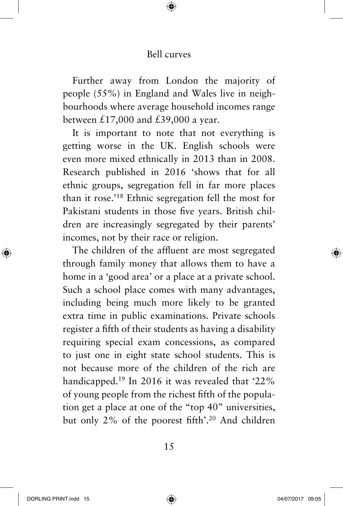♠

Further away from London the majority of people (55%) in England and Wales live in neighbourhoods where average household incomes range between  $£17,000$  and  $£39,000$  a year.

It is important to note that not everything is getting worse in the UK. English schools were even more mixed ethnically in 2013 than in 2008. Research published in 2016 'shows that for all ethnic groups, segregation fell in far more places than it rose.'18 Ethnic segregation fell the most for Pakistani students in those five years. British children are increasingly segregated by their parents' incomes, not by their race or religion.

The children of the affluent are most segregated through family money that allows them to have a home in a 'good area' or a place at a private school. Such a school place comes with many advantages, including being much more likely to be granted extra time in public examinations. Private schools register a fifth of their students as having a disability requiring special exam concessions, as compared to just one in eight state school students. This is not because more of the children of the rich are handicapped.<sup>19</sup> In 2016 it was revealed that '22% of young people from the richest fifth of the population get a place at one of the "top 40" universities, but only 2% of the poorest fifth'.20 And children